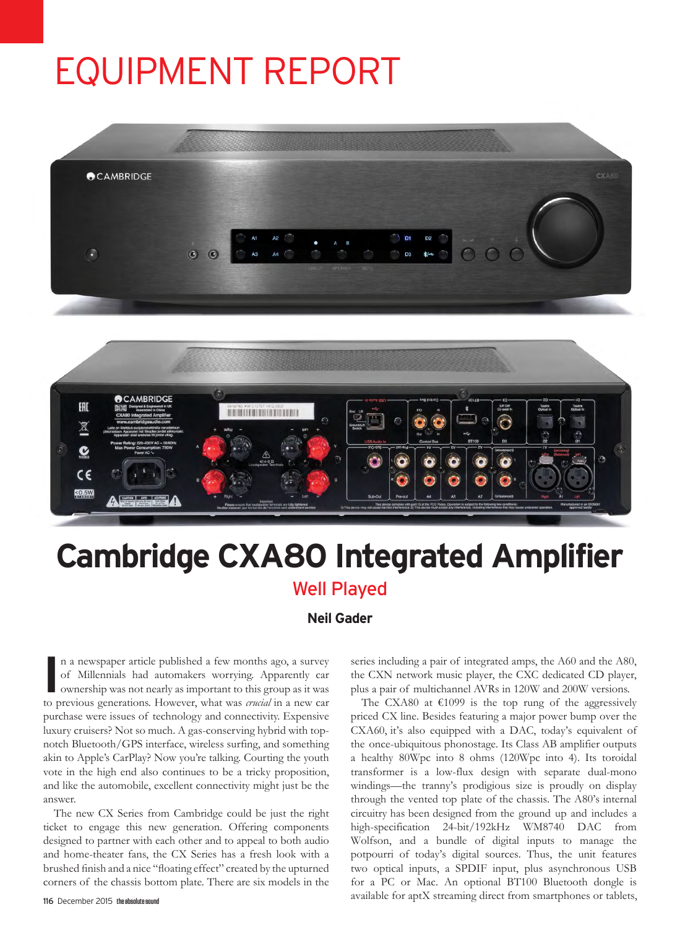# EQUIPMENT REPORT





## **Cambridge CXA80 Integrated Amplifier** Well Played

#### **Neil Gader**

In a newspaper article published a few months ago, a survey of Millennials had automakers worrying. Apparently car ownership was not nearly as important to this group as it was *to* previous generations. However, what was n a newspaper article published a few months ago, a survey of Millennials had automakers worrying. Apparently car ownership was not nearly as important to this group as it was purchase were issues of technology and connectivity. Expensive luxury cruisers? Not so much. A gas-conserving hybrid with topnotch Bluetooth/GPS interface, wireless surfing, and something akin to Apple's CarPlay? Now you're talking. Courting the youth vote in the high end also continues to be a tricky proposition, and like the automobile, excellent connectivity might just be the answer.

The new CX Series from Cambridge could be just the right ticket to engage this new generation. Offering components designed to partner with each other and to appeal to both audio and home-theater fans, the CX Series has a fresh look with a brushed finish and a nice "floating effect" created by the upturned corners of the chassis bottom plate. There are six models in the

116 December 2015 the absolute sound

series including a pair of integrated amps, the A60 and the A80, the CXN network music player, the CXC dedicated CD player, plus a pair of multichannel AVRs in 120W and 200W versions.

The CXA80 at  $€1099$  is the top rung of the aggressively priced CX line. Besides featuring a major power bump over the CXA60, it's also equipped with a DAC, today's equivalent of the once-ubiquitous phonostage. Its Class AB amplifier outputs a healthy 80Wpc into 8 ohms (120Wpc into 4). Its toroidal transformer is a low-flux design with separate dual-mono windings—the tranny's prodigious size is proudly on display through the vented top plate of the chassis. The A80's internal circuitry has been designed from the ground up and includes a high-specification 24-bit/192kHz WM8740 DAC from Wolfson, and a bundle of digital inputs to manage the potpourri of today's digital sources. Thus, the unit features two optical inputs, a SPDIF input, plus asynchronous USB for a PC or Mac. An optional BT100 Bluetooth dongle is available for aptX streaming direct from smartphones or tablets,